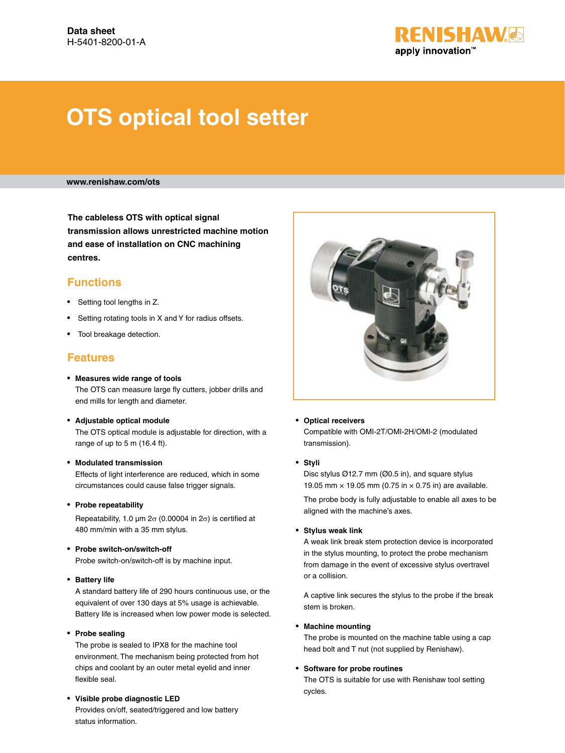

# **OTS optical tool setter**

**www.renishaw.com/ots**

**The cableless OTS with optical signal transmission allows unrestricted machine motion and ease of installation on CNC machining centres.**

# **Functions**

- Setting tool lengths in Z.
- Setting rotating tools in X and Y for radius offsets.
- Tool breakage detection.

### **Features**

- **Measures wide range of tools**  The OTS can measure large fly cutters, jobber drills and end mills for length and diameter.
- **Adjustable optical module** The OTS optical module is adjustable for direction, with a range of up to 5 m (16.4 ft).

#### • **Modulated transmission**

Effects of light interference are reduced, which in some circumstances could cause false trigger signals.

• **Probe repeatability**

Repeatability, 1.0  $\mu$ m 2 $\sigma$  (0.00004 in 2 $\sigma$ ) is certified at 480 mm/min with a 35 mm stylus.

• **Probe switch-on/switch-off**

Probe switch-on/switch-off is by machine input.

• **Battery life** 

A standard battery life of 290 hours continuous use, or the equivalent of over 130 days at 5% usage is achievable. Battery life is increased when low power mode is selected.

• **Probe sealing**

The probe is sealed to IPX8 for the machine tool environment. The mechanism being protected from hot chips and coolant by an outer metal eyelid and inner flexible seal.

#### • **Visible probe diagnostic LED**

Provides on/off, seated/triggered and low battery status information.



#### • **Optical receivers**

Compatible with OMI-2T/OMI-2H/OMI-2 (modulated transmission).

#### • **Styli**

Disc stylus Ø12.7 mm (Ø0.5 in), and square stylus 19.05 mm  $\times$  19.05 mm (0.75 in  $\times$  0.75 in) are available.

 The probe body is fully adjustable to enable all axes to be aligned with the machine's axes.

#### • **Stylus weak link**

A weak link break stem protection device is incorporated in the stylus mounting, to protect the probe mechanism from damage in the event of excessive stylus overtravel or a collision.

 A captive link secures the stylus to the probe if the break stem is broken.

#### • **Machine mounting**

The probe is mounted on the machine table using a cap head bolt and T nut (not supplied by Renishaw).

#### • **Software for probe routines**

The OTS is suitable for use with Renishaw tool setting cycles.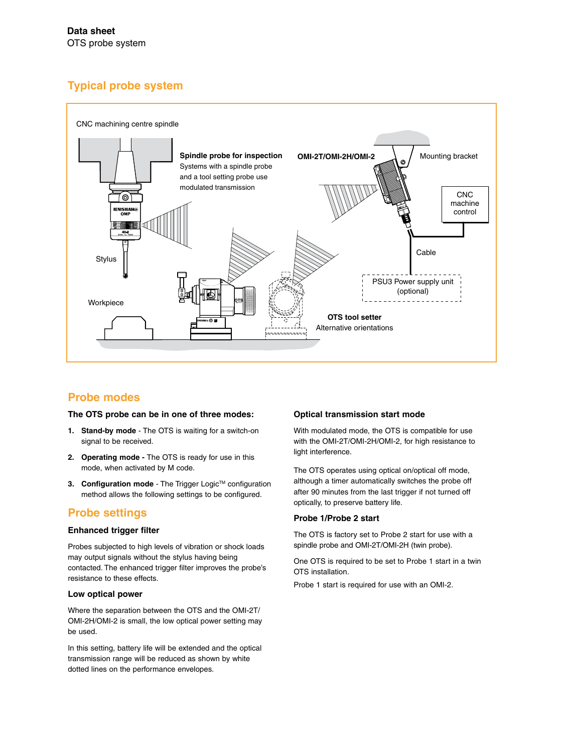# **Typical probe system**



## **Probe modes**

#### **The OTS probe can be in one of three modes:**

- **1. Stand-by mode**  The OTS is waiting for a switch-on signal to be received.
- **2. Operating mode** The OTS is ready for use in this mode, when activated by M code.
- **3. Configuration mode** The Trigger Logic™ configuration method allows the following settings to be configured.

## **Probe settings**

#### **Enhanced trigger filter**

Probes subjected to high levels of vibration or shock loads may output signals without the stylus having being contacted. The enhanced trigger filter improves the probe's resistance to these effects.

#### **Low optical power**

Where the separation between the OTS and the OMI-2T/ OMI-2H/OMI-2 is small, the low optical power setting may be used.

In this setting, battery life will be extended and the optical transmission range will be reduced as shown by white dotted lines on the performance envelopes.

#### **Optical transmission start mode**

With modulated mode, the OTS is compatible for use with the OMI-2T/OMI-2H/OMI-2, for high resistance to light interference.

The OTS operates using optical on/optical off mode, although a timer automatically switches the probe off after 90 minutes from the last trigger if not turned off optically, to preserve battery life.

#### **Probe 1/Probe 2 start**

The OTS is factory set to Probe 2 start for use with a spindle probe and OMI-2T/OMI-2H (twin probe).

One OTS is required to be set to Probe 1 start in a twin OTS installation.

Probe 1 start is required for use with an OMI-2.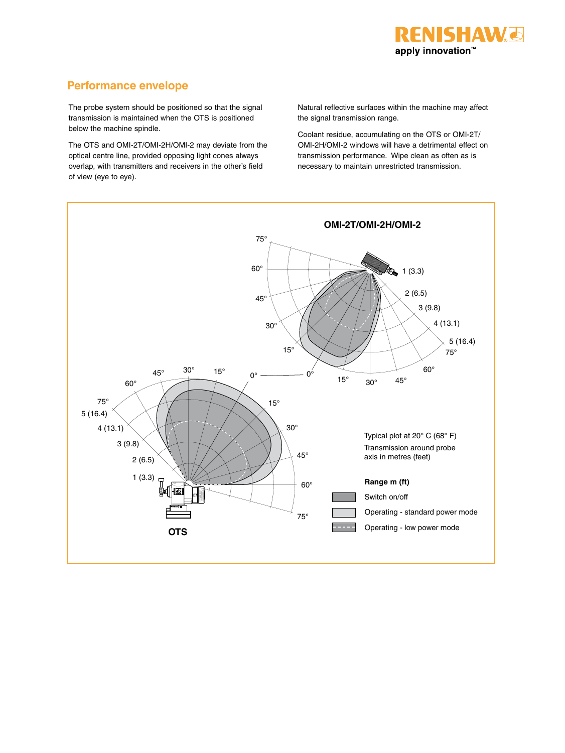

# **Performance envelope**

The probe system should be positioned so that the signal transmission is maintained when the OTS is positioned below the machine spindle.

The OTS and OMI-2T/OMI-2H/OMI-2 may deviate from the optical centre line, provided opposing light cones always overlap, with transmitters and receivers in the other's field of view (eye to eye).

Natural reflective surfaces within the machine may affect the signal transmission range.

Coolant residue, accumulating on the OTS or OMI-2T/ OMI-2H/OMI-2 windows will have a detrimental effect on transmission performance. Wipe clean as often as is necessary to maintain unrestricted transmission.

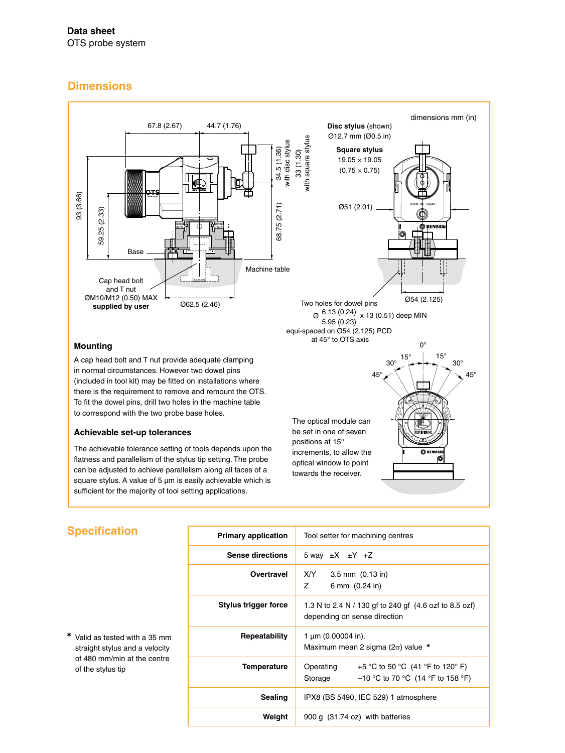# **Dimensions**



The achievable tolerance setting of tools depends upon the flatness and parallelism of the stylus tip setting. The probe can be adjusted to achieve parallelism along all faces of a square stylus. A value of 5 µm is easily achievable which is sufficient for the majority of tool setting applications.

# **Specification**

✱ Valid as tested with a 35 mm straight stylus and a velocity of 480 mm/min at the centre of the stylus tip

| <b>Primary application</b> | Tool setter for machining centres                                                               |  |  |
|----------------------------|-------------------------------------------------------------------------------------------------|--|--|
| <b>Sense directions</b>    | 5 way $\pm X$ $\pm Y$ $+Z$                                                                      |  |  |
| Overtravel                 | $X/Y$ 3.5 mm $(0.13 \text{ in})$<br>$Z \sim$<br>6 mm (0.24 in)                                  |  |  |
| Stylus trigger force       | 1.3 N to 2.4 N / 130 gf to 240 gf (4.6 ozf to 8.5 ozf)<br>depending on sense direction          |  |  |
| Repeatability              | 1 $\mu$ m (0.00004 in).<br>Maximum mean 2 sigma ( $2\sigma$ ) value *                           |  |  |
| Temperature                | +5 °C to 50 °C (41 °F to 120° F)<br>Operating<br>$-10$ °C to 70 °C (14 °F to 158 °F)<br>Storage |  |  |
| <b>Sealing</b>             | IPX8 (BS 5490, IEC 529) 1 atmosphere                                                            |  |  |
| Weight                     | 900 g (31.74 oz) with batteries                                                                 |  |  |

increments, to allow the optical window to point towards the receiver.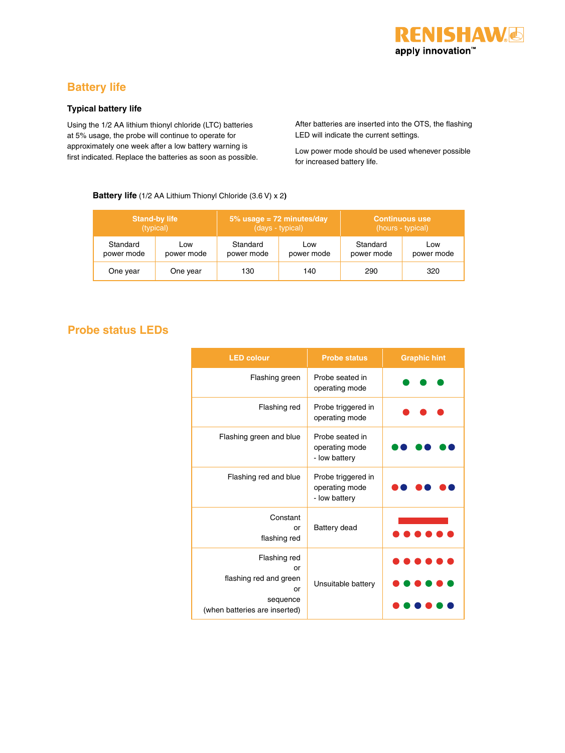

# **Battery life**

#### **Typical battery life**

Using the 1/2 AA lithium thionyl chloride (LTC) batteries at 5% usage, the probe will continue to operate for approximately one week after a low battery warning is first indicated. Replace the batteries as soon as possible. After batteries are inserted into the OTS, the flashing LED will indicate the current settings.

Low power mode should be used whenever possible for increased battery life.

#### **Battery life** (1/2 AA Lithium Thionyl Chloride (3.6 V) x 2**)**

| <b>Stand-by life</b> |            | $5\%$ usage = 72 minutes/day |            | <b>Continuous use</b> |            |
|----------------------|------------|------------------------------|------------|-----------------------|------------|
| (typical)            |            | (days - typical)             |            | (hours - typical)     |            |
| Standard             | Low        | Standard                     | Low        | Standard              | Low        |
| power mode           | power mode | power mode                   | power mode | power mode            | power mode |
| One year             | One year   | 130                          | 140        | 290                   | 320        |

# **Probe status LEDs**

| <b>LED colour</b>                                                                               | <b>Probe status</b>                                   | <b>Graphic hint</b> |
|-------------------------------------------------------------------------------------------------|-------------------------------------------------------|---------------------|
| Flashing green                                                                                  | Probe seated in<br>operating mode                     |                     |
| Flashing red                                                                                    | Probe triggered in<br>operating mode                  |                     |
| Flashing green and blue                                                                         | Probe seated in<br>operating mode<br>- low battery    |                     |
| Flashing red and blue                                                                           | Probe triggered in<br>operating mode<br>- low battery |                     |
| Constant<br>or<br>flashing red                                                                  | Battery dead                                          |                     |
| Flashing red<br>or<br>flashing red and green<br>or<br>sequence<br>(when batteries are inserted) | Unsuitable battery                                    |                     |